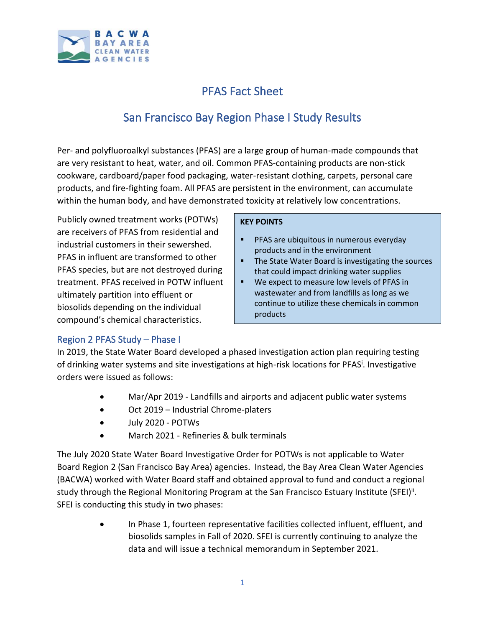

# PFAS Fact Sheet

# San Francisco Bay Region Phase I Study Results

Per- and polyfluoroalkyl substances (PFAS) are a large group of human-made compounds that are very resistant to heat, water, and oil. Common PFAS-containing products are non-stick cookware, cardboard/paper food packaging, water-resistant clothing, carpets, personal care products, and fire-fighting foam. All PFAS are persistent in the environment, can accumulate within the human body, and have demonstrated toxicity at relatively low concentrations.

Publicly owned treatment works (POTWs) are receivers of PFAS from residential and industrial customers in their sewershed. PFAS in influent are transformed to other PFAS species, but are not destroyed during treatment. PFAS received in POTW influent ultimately partition into effluent or biosolids depending on the individual compound's chemical characteristics.

### **KEY POINTS**

- **PFAS are ubiquitous in numerous everyday** products and in the environment
- The State Water Board is investigating the sources that could impact drinking water supplies
- We expect to measure low levels of PFAS in wastewater and from landfills as long as we continue to utilize these chemicals in common products

# Region 2 PFAS Study – Phase I

In 2019, the State Water Board developed a phased investigation action plan requiring testing of drinking water systems and site investigations at high-risk locations for PFAS<sup>i</sup>. Investigative orders were issued as follows:

- Mar/Apr 2019 Landfills and airports and adjacent public water systems
- Oct 2019 Industrial Chrome-platers
- July 2020 POTWs
- March 2021 Refineries & bulk terminals

The July 2020 State Water Board Investigative Order for POTWs is not applicable to Water Board Region 2 (San Francisco Bay Area) agencies. Instead, the Bay Area Clean Water Agencies (BACWA) worked with Water Board staff and obtained approval to fund and conduct a regional study through the Regional Monitoring Program at the San Francisco Estuary Institute (SFEI)<sup>ii</sup>. SFEI is conducting this study in two phases:

> • In Phase 1, fourteen representative facilities collected influent, effluent, and biosolids samples in Fall of 2020. SFEI is currently continuing to analyze the data and will issue a technical memorandum in September 2021.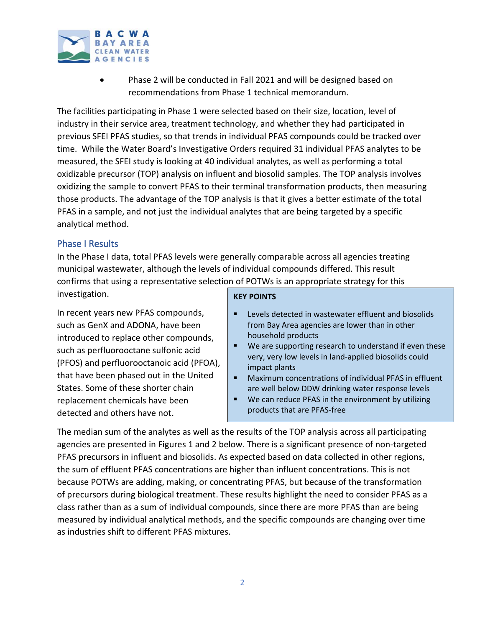

• Phase 2 will be conducted in Fall 2021 and will be designed based on recommendations from Phase 1 technical memorandum.

The facilities participating in Phase 1 were selected based on their size, location, level of industry in their service area, treatment technology, and whether they had participated in previous SFEI PFAS studies, so that trends in individual PFAS compounds could be tracked over time. While the Water Board's Investigative Orders required 31 individual PFAS analytes to be measured, the SFEI study is looking at 40 individual analytes, as well as performing a total oxidizable precursor (TOP) analysis on influent and biosolid samples. The TOP analysis involves oxidizing the sample to convert PFAS to their terminal transformation products, then measuring those products. The advantage of the TOP analysis is that it gives a better estimate of the total PFAS in a sample, and not just the individual analytes that are being targeted by a specific analytical method.

## Phase I Results

In the Phase I data, total PFAS levels were generally comparable across all agencies treating municipal wastewater, although the levels of individual compounds differed. This result confirms that using a representative selection of POTWs is an appropriate strategy for this investigation.

In recent years new PFAS compounds, such as GenX and ADONA, have been introduced to replace other compounds, such as perfluorooctane sulfonic acid (PFOS) and perfluorooctanoic acid (PFOA), that have been phased out in the United States. Some of these shorter chain replacement chemicals have been detected and others have not.

#### **KEY POINTS**

- Levels detected in wastewater effluent and biosolids from Bay Area agencies are lower than in other household products
- We are supporting research to understand if even these very, very low levels in land-applied biosolids could impact plants
- Maximum concentrations of individual PFAS in effluent are well below DDW drinking water response levels
- We can reduce PFAS in the environment by utilizing products that are PFAS-free

The median sum of the analytes as well as the results of the TOP analysis across all participating agencies are presented in Figures 1 and 2 below. There is a significant presence of non-targeted PFAS precursors in influent and biosolids. As expected based on data collected in other regions, the sum of effluent PFAS concentrations are higher than influent concentrations. This is not because POTWs are adding, making, or concentrating PFAS, but because of the transformation of precursors during biological treatment. These results highlight the need to consider PFAS as a class rather than as a sum of individual compounds, since there are more PFAS than are being measured by individual analytical methods, and the specific compounds are changing over time as industries shift to different PFAS mixtures.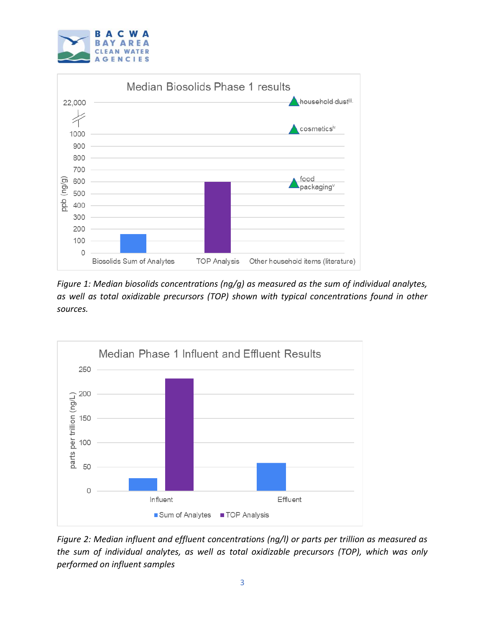



*Figure 1: Median biosolids concentrations (ng/g) as measured as the sum of individual analytes, as well as total oxidizable precursors (TOP) shown with typical concentrations found in other sources.*



*Figure 2: Median influent and effluent concentrations (ng/l) or parts per trillion as measured as the sum of individual analytes, as well as total oxidizable precursors (TOP), which was only performed on influent samples*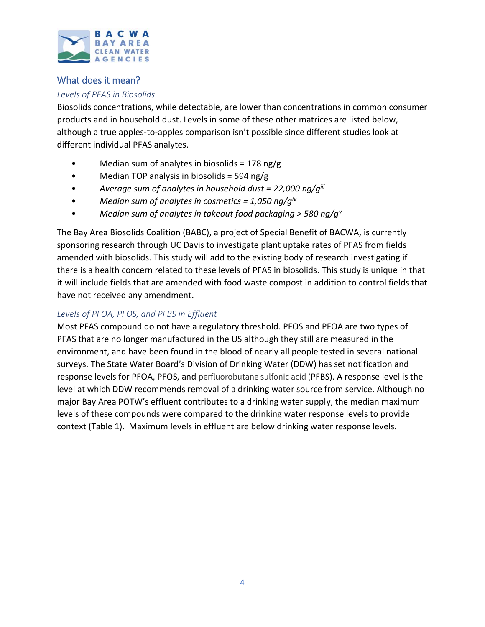

# What does it mean?

### *Levels of PFAS in Biosolids*

Biosolids concentrations, while detectable, are lower than concentrations in common consumer products and in household dust. Levels in some of these other matrices are listed below, although a true apples-to-apples comparison isn't possible since different studies look at different individual PFAS analytes.

- Median sum of analytes in biosolids =  $178$  ng/g
- Median TOP analysis in biosolids = 594 ng/g
- *Average sum of analytes in household dust = 22,000 ng/giii*
- *Median sum of analytes in cosmetics = 1,050 ng/giv*
- *Median sum of analytes in takeout food packaging > 580 ng/g<sup>v</sup>*

The Bay Area Biosolids Coalition (BABC), a project of Special Benefit of BACWA, is currently sponsoring research through UC Davis to investigate plant uptake rates of PFAS from fields amended with biosolids. This study will add to the existing body of research investigating if there is a health concern related to these levels of PFAS in biosolids. This study is unique in that it will include fields that are amended with food waste compost in addition to control fields that have not received any amendment.

## *Levels of PFOA, PFOS, and PFBS in Effluent*

Most PFAS compound do not have a regulatory threshold. PFOS and PFOA are two types of PFAS that are no longer manufactured in the US although they still are measured in the environment, and have been found in the blood of nearly all people tested in several national surveys. The State Water Board's Division of Drinking Water (DDW) has set notification and response levels for PFOA, PFOS, and perfluorobutane sulfonic acid (PFBS). A response level is the level at which DDW recommends removal of a drinking water source from service. Although no major Bay Area POTW's effluent contributes to a drinking water supply, the median maximum levels of these compounds were compared to the drinking water response levels to provide context (Table 1). Maximum levels in effluent are below drinking water response levels.